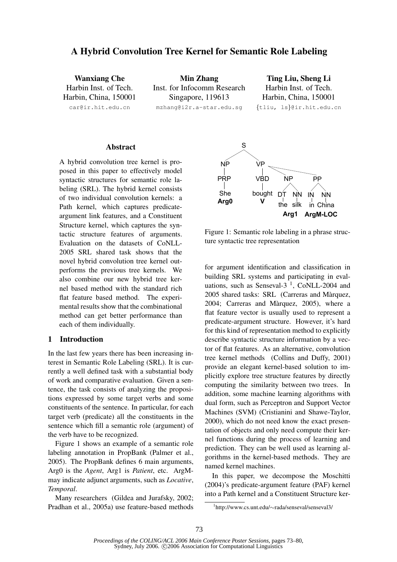# A Hybrid Convolution Tree Kernel for Semantic Role Labeling

Wanxiang Che Harbin Inst. of Tech. Harbin, China, 150001 car@ir.hit.edu.cn

Min Zhang Inst. for Infocomm Research Singapore, 119613 mzhang@i2r.a-star.edu.sg

Ting Liu, Sheng Li Harbin Inst. of Tech. Harbin, China, 150001 {tliu, ls}@ir.hit.edu.cn

## Abstract

A hybrid convolution tree kernel is proposed in this paper to effectively model syntactic structures for semantic role labeling (SRL). The hybrid kernel consists of two individual convolution kernels: a Path kernel, which captures predicateargument link features, and a Constituent Structure kernel, which captures the syntactic structure features of arguments. Evaluation on the datasets of CoNLL-2005 SRL shared task shows that the novel hybrid convolution tree kernel outperforms the previous tree kernels. We also combine our new hybrid tree kernel based method with the standard rich flat feature based method. The experimental results show that the combinational method can get better performance than each of them individually.

# 1 Introduction

In the last few years there has been increasing interest in Semantic Role Labeling (SRL). It is currently a well defined task with a substantial body of work and comparative evaluation. Given a sentence, the task consists of analyzing the propositions expressed by some target verbs and some constituents of the sentence. In particular, for each target verb (predicate) all the constituents in the sentence which fill a semantic role (argument) of the verb have to be recognized.

Figure 1 shows an example of a semantic role labeling annotation in PropBank (Palmer et al., 2005). The PropBank defines 6 main arguments, Arg0 is the *Agent*, Arg1 is *Patient*, etc. ArgMmay indicate adjunct arguments, such as *Locative*, *Temporal*.

Many researchers (Gildea and Jurafsky, 2002; Pradhan et al., 2005a) use feature-based methods



Figure 1: Semantic role labeling in a phrase structure syntactic tree representation

for argument identification and classification in building SRL systems and participating in evaluations, such as Senseval-3<sup> $1$ </sup>, CoNLL-2004 and 2005 shared tasks: SRL (Carreras and Marquez, ` 2004; Carreras and Marquez, 2005), where a ` flat feature vector is usually used to represent a predicate-argument structure. However, it's hard for this kind of representation method to explicitly describe syntactic structure information by a vector of flat features. As an alternative, convolution tree kernel methods (Collins and Duffy, 2001) provide an elegant kernel-based solution to implicitly explore tree structure features by directly computing the similarity between two trees. In addition, some machine learning algorithms with dual form, such as Perceptron and Support Vector Machines (SVM) (Cristianini and Shawe-Taylor, 2000), which do not need know the exact presentation of objects and only need compute their kernel functions during the process of learning and prediction. They can be well used as learning algorithms in the kernel-based methods. They are named kernel machines.

In this paper, we decompose the Moschitti (2004)'s predicate-argument feature (PAF) kernel into a Path kernel and a Constituent Structure ker-

<sup>1</sup> http://www.cs.unt.edu/∼rada/senseval/senseval3/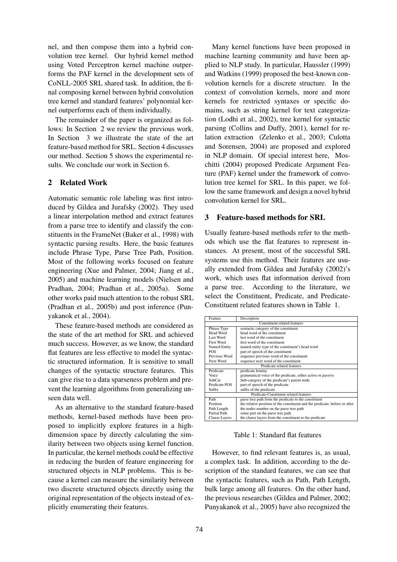nel, and then compose them into a hybrid convolution tree kernel. Our hybrid kernel method using Voted Perceptron kernel machine outperforms the PAF kernel in the development sets of CoNLL-2005 SRL shared task. In addition, the final composing kernel between hybrid convolution tree kernel and standard features' polynomial kernel outperforms each of them individually.

The remainder of the paper is organized as follows: In Section 2 we review the previous work. In Section 3 we illustrate the state of the art feature-based method for SRL. Section 4 discusses our method. Section 5 shows the experimental results. We conclude our work in Section 6.

## 2 Related Work

Automatic semantic role labeling was first introduced by Gildea and Jurafsky (2002). They used a linear interpolation method and extract features from a parse tree to identify and classify the constituents in the FrameNet (Baker et al., 1998) with syntactic parsing results. Here, the basic features include Phrase Type, Parse Tree Path, Position. Most of the following works focused on feature engineering (Xue and Palmer, 2004; Jiang et al., 2005) and machine learning models (Nielsen and Pradhan, 2004; Pradhan et al., 2005a). Some other works paid much attention to the robust SRL (Pradhan et al., 2005b) and post inference (Punyakanok et al., 2004).

These feature-based methods are considered as the state of the art method for SRL and achieved much success. However, as we know, the standard flat features are less effective to model the syntactic structured information. It is sensitive to small changes of the syntactic structure features. This can give rise to a data sparseness problem and prevent the learning algorithms from generalizing unseen data well.

As an alternative to the standard feature-based methods, kernel-based methods have been proposed to implicitly explore features in a highdimension space by directly calculating the similarity between two objects using kernel function. In particular, the kernel methods could be effective in reducing the burden of feature engineering for structured objects in NLP problems. This is because a kernel can measure the similarity between two discrete structured objects directly using the original representation of the objects instead of explicitly enumerating their features.

Many kernel functions have been proposed in machine learning community and have been applied to NLP study. In particular, Haussler (1999) and Watkins (1999) proposed the best-known convolution kernels for a discrete structure. In the context of convolution kernels, more and more kernels for restricted syntaxes or specific domains, such as string kernel for text categorization (Lodhi et al., 2002), tree kernel for syntactic parsing (Collins and Duffy, 2001), kernel for relation extraction (Zelenko et al., 2003; Culotta and Sorensen, 2004) are proposed and explored in NLP domain. Of special interest here, Moschitti (2004) proposed Predicate Argument Feature (PAF) kernel under the framework of convolution tree kernel for SRL. In this paper, we follow the same framework and design a novel hybrid convolution kernel for SRL.

## 3 Feature-based methods for SRL

Usually feature-based methods refer to the methods which use the flat features to represent instances. At present, most of the successful SRL systems use this method. Their features are usually extended from Gildea and Jurafsky (2002)'s work, which uses flat information derived from a parse tree. According to the literature, we select the Constituent, Predicate, and Predicate-Constituent related features shown in Table 1.

| Feature                                | Description                                                                 |  |  |  |
|----------------------------------------|-----------------------------------------------------------------------------|--|--|--|
| Constituent related features           |                                                                             |  |  |  |
| Phrase Type                            | syntactic category of the constituent                                       |  |  |  |
| Head Word                              | head word of the constituent                                                |  |  |  |
| Last Word                              | last word of the constituent                                                |  |  |  |
| First Word                             | first word of the constituent                                               |  |  |  |
| Named Entity                           | named entity type of the constituent's head word                            |  |  |  |
| <b>POS</b>                             | part of speech of the constituent                                           |  |  |  |
| Previous Word                          | sequence previous word of the constituent                                   |  |  |  |
| Next Word                              | sequence next word of the constituent                                       |  |  |  |
|                                        | Predicate related features                                                  |  |  |  |
| Predicate                              | predicate lemma                                                             |  |  |  |
| Voice                                  | grammatical voice of the predicate, either active or passive                |  |  |  |
| SubCat                                 | Sub-category of the predicate's parent node                                 |  |  |  |
| Predicate POS                          | part of speech of the predicate                                             |  |  |  |
| Suffix                                 | suffix of the predicate                                                     |  |  |  |
| Predicate-Constituent related features |                                                                             |  |  |  |
| Path                                   | parse tree path from the predicate to the constituent                       |  |  |  |
| Position                               | the relative position of the constituent and the predicate, before or after |  |  |  |
| Path Length                            | the nodes number on the parse tree path                                     |  |  |  |
| Partial Path                           | some part on the parse tree path                                            |  |  |  |
| Clause Layers                          | the clause layers from the constituent to the predicate                     |  |  |  |

Table 1: Standard flat features

However, to find relevant features is, as usual, a complex task. In addition, according to the description of the standard features, we can see that the syntactic features, such as Path, Path Length, bulk large among all features. On the other hand, the previous researches (Gildea and Palmer, 2002; Punyakanok et al., 2005) have also recognized the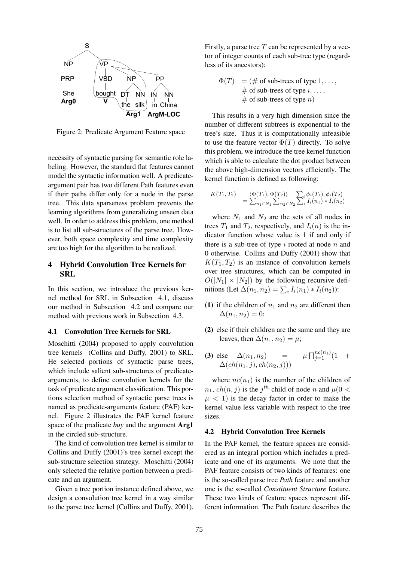

Figure 2: Predicate Argument Feature space

necessity of syntactic parsing for semantic role labeling. However, the standard flat features cannot model the syntactic information well. A predicateargument pair has two different Path features even if their paths differ only for a node in the parse tree. This data sparseness problem prevents the learning algorithms from generalizing unseen data well. In order to address this problem, one method is to list all sub-structures of the parse tree. However, both space complexity and time complexity are too high for the algorithm to be realized.

# 4 Hybrid Convolution Tree Kernels for **SRL**

In this section, we introduce the previous kernel method for SRL in Subsection 4.1, discuss our method in Subsection 4.2 and compare our method with previous work in Subsection 4.3.

## 4.1 Convolution Tree Kernels for SRL

Moschitti (2004) proposed to apply convolution tree kernels (Collins and Duffy, 2001) to SRL. He selected portions of syntactic parse trees, which include salient sub-structures of predicatearguments, to define convolution kernels for the task of predicate argument classification. This portions selection method of syntactic parse trees is named as predicate-arguments feature (PAF) kernel. Figure 2 illustrates the PAF kernel feature space of the predicate *buy* and the argument Arg1 in the circled sub-structure.

The kind of convolution tree kernel is similar to Collins and Duffy (2001)'s tree kernel except the sub-structure selection strategy. Moschitti (2004) only selected the relative portion between a predicate and an argument.

Given a tree portion instance defined above, we design a convolution tree kernel in a way similar to the parse tree kernel (Collins and Duffy, 2001).

Firstly, a parse tree  $T$  can be represented by a vector of integer counts of each sub-tree type (regardless of its ancestors):

 $\Phi(T) = (\text{# of sub-trees of type } 1, \ldots,$ # of sub-trees of type  $i, \ldots,$ # of sub-trees of type  $n$ )

This results in a very high dimension since the number of different subtrees is exponential to the tree's size. Thus it is computationally infeasible to use the feature vector  $\Phi(T)$  directly. To solve this problem, we introduce the tree kernel function which is able to calculate the dot product between the above high-dimension vectors efficiently. The kernel function is defined as following:

$$
K(T_1, T_2) = \langle \Phi(T_1), \Phi(T_2) \rangle = \sum_i \phi_i(T_1), \phi_i(T_2) = \sum_{n_1 \in N_1} \sum_{n_2 \in N_2} \sum_i I_i(n_1) * I_i(n_2)
$$

where  $N_1$  and  $N_2$  are the sets of all nodes in trees  $T_1$  and  $T_2$ , respectively, and  $I_i(n)$  is the indicator function whose value is 1 if and only if there is a sub-tree of type  $i$  rooted at node  $n$  and 0 otherwise. Collins and Duffy (2001) show that  $K(T_1, T_2)$  is an instance of convolution kernels over tree structures, which can be computed in  $O(|N_1| \times |N_2|)$  by the following recursive defi- $\text{mitions (Let } \Delta(n_1, n_2) = \sum_i I_i(n_1) * I_i(n_2))$ 

- (1) if the children of  $n_1$  and  $n_2$  are different then  $\Delta(n_1, n_2) = 0;$
- (2) else if their children are the same and they are leaves, then  $\Delta(n_1, n_2) = \mu$ ;
- (3) else  $\Delta(n_1, n_2)$  =  $\mu \prod_{j=1}^{n c(n_1)} (1 +$  $\Delta(ch(n_1, j), ch(n_2, j)))$

where  $nc(n_1)$  is the number of the children of  $n_1$ ,  $ch(n, j)$  is the  $j<sup>th</sup>$  child of node n and  $\mu(0 < j)$  $\mu$  < 1) is the decay factor in order to make the kernel value less variable with respect to the tree sizes.

## 4.2 Hybrid Convolution Tree Kernels

In the PAF kernel, the feature spaces are considered as an integral portion which includes a predicate and one of its arguments. We note that the PAF feature consists of two kinds of features: one is the so-called parse tree *Path* feature and another one is the so-called *Constituent Structure* feature. These two kinds of feature spaces represent different information. The Path feature describes the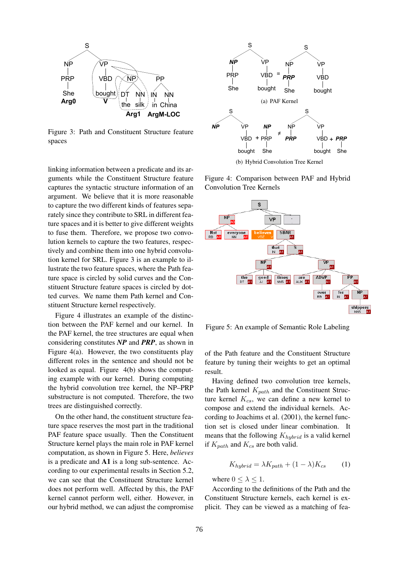

Figure 3: Path and Constituent Structure feature spaces

linking information between a predicate and its arguments while the Constituent Structure feature captures the syntactic structure information of an argument. We believe that it is more reasonable to capture the two different kinds of features separately since they contribute to SRL in different feature spaces and it is better to give different weights to fuse them. Therefore, we propose two convolution kernels to capture the two features, respectively and combine them into one hybrid convolution kernel for SRL. Figure 3 is an example to illustrate the two feature spaces, where the Path feature space is circled by solid curves and the Constituent Structure feature spaces is circled by dotted curves. We name them Path kernel and Constituent Structure kernel respectively. **S**<br> **EXERCT THE CONDUCT THE CONDUCT TRANS THE CONDUCT TRANS THE CONDUCT CONDUCT TO THE CONDUCT TRANS THE CONDUCT TRANS THE CONDUCT CONDUCT THE CONDUCT TRANS THE CONDUCT CONDUCT CONDUCT CONDUCT THE CONDUCT CONDUCT THE CON** 

Figure 4 illustrates an example of the distinction between the PAF kernel and our kernel. In the PAF kernel, the tree structures are equal when considering constitutes *NP* and *PRP*, as shown in Figure 4(a). However, the two constituents play different roles in the sentence and should not be looked as equal. Figure 4(b) shows the computing example with our kernel. During computing the hybrid convolution tree kernel, the NP–PRP substructure is not computed. Therefore, the two trees are distinguished correctly.

On the other hand, the constituent structure feature space reserves the most part in the traditional PAF feature space usually. Then the Constituent Structure kernel plays the main role in PAF kernel computation, as shown in Figure 5. Here, *believes* is a predicate and A1 is a long sub-sentence. According to our experimental results in Section 5.2, we can see that the Constituent Structure kernel does not perform well. Affected by this, the PAF kernel cannot perform well, either. However, in



(b) Hybrid Convolution Tree Kernel

Figure 4: Comparison between PAF and Hybrid Convolution Tree Kernels



Figure 5: An example of Semantic Role Labeling

of the Path feature and the Constituent Structure feature by tuning their weights to get an optimal result.

Having defined two convolution tree kernels, the Path kernel  $K_{path}$  and the Constituent Structure kernel  $K_{cs}$ , we can define a new kernel to compose and extend the individual kernels. According to Joachims et al. (2001), the kernel function set is closed under linear combination. It means that the following  $K_{hybrid}$  is a valid kernel if  $K_{path}$  and  $K_{cs}$  are both valid.

$$
K_{hybrid} = \lambda K_{path} + (1 - \lambda)K_{cs} \tag{1}
$$

where  $0 \leq \lambda \leq 1$ .

According to the definitions of the Path and the Constituent Structure kernels, each kernel is explicit. They can be viewed as a matching of fea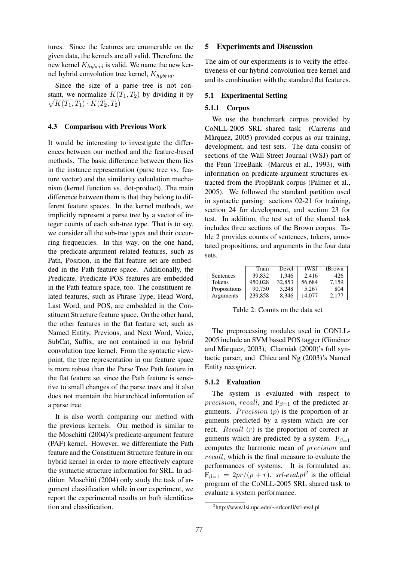tures. Since the features are enumerable on the given data, the kernels are all valid. Therefore, the new kernel  $K_{hybrid}$  is valid. We name the new kernel hybrid convolution tree kernel,  $K_{hybrid}$ .

Since the size of a parse tree is not constant, we normalize  $K(T_1, T_2)$  by dividing it by  $\sqrt{K(T_1, T_1) \cdot K(T_2, T_2)}$ 

### 4.3 Comparison with Previous Work

It would be interesting to investigate the differences between our method and the feature-based methods. The basic difference between them lies in the instance representation (parse tree vs. feature vector) and the similarity calculation mechanism (kernel function vs. dot-product). The main difference between them is that they belong to different feature spaces. In the kernel methods, we implicitly represent a parse tree by a vector of integer counts of each sub-tree type. That is to say, we consider all the sub-tree types and their occurring frequencies. In this way, on the one hand, the predicate-argument related features, such as Path, Position, in the flat feature set are embedded in the Path feature space. Additionally, the Predicate, Predicate POS features are embedded in the Path feature space, too. The constituent related features, such as Phrase Type, Head Word, Last Word, and POS, are embedded in the Constituent Structure feature space. On the other hand, the other features in the flat feature set, such as Named Entity, Previous, and Next Word, Voice, SubCat, Suffix, are not contained in our hybrid convolution tree kernel. From the syntactic viewpoint, the tree representation in our feature space is more robust than the Parse Tree Path feature in the flat feature set since the Path feature is sensitive to small changes of the parse trees and it also does not maintain the hierarchical information of a parse tree.

It is also worth comparing our method with the previous kernels. Our method is similar to the Moschitti (2004)'s predicate-argument feature (PAF) kernel. However, we differentiate the Path feature and the Constituent Structure feature in our hybrid kernel in order to more effectively capture the syntactic structure information for SRL. In addition Moschitti (2004) only study the task of argument classification while in our experiment, we report the experimental results on both identification and classification.

### 5 Experiments and Discussion

The aim of our experiments is to verify the effectiveness of our hybrid convolution tree kernel and and its combination with the standard flat features.

#### 5.1 Experimental Setting

#### 5.1.1 Corpus

We use the benchmark corpus provided by CoNLL-2005 SRL shared task (Carreras and Màrquez, 2005) provided corpus as our training, development, and test sets. The data consist of sections of the Wall Street Journal (WSJ) part of the Penn TreeBank (Marcus et al., 1993), with information on predicate-argument structures extracted from the PropBank corpus (Palmer et al., 2005). We followed the standard partition used in syntactic parsing: sections 02-21 for training, section 24 for development, and section 23 for test. In addition, the test set of the shared task includes three sections of the Brown corpus. Table 2 provides counts of sentences, tokens, annotated propositions, and arguments in the four data sets.

|              | Train   | Devel  | tWSJ   | tBrown |
|--------------|---------|--------|--------|--------|
| Sentences    | 39.832  | 1.346  | 2.416  | 426    |
| Tokens       | 950.028 | 32,853 | 56,684 | 7.159  |
| Propositions | 90,750  | 3.248  | 5.267  | 804    |
| Arguments    | 239,858 | 8.346  | 14.077 | 2.177  |

Table 2: Counts on the data set

The preprocessing modules used in CONLL-2005 include an SVM based POS tagger (Giménez and Màrquez, 2003), Charniak (2000)'s full syntactic parser, and Chieu and Ng (2003)'s Named Entity recognizer.

#### 5.1.2 Evaluation

The system is evaluated with respect to *precision, recall,* and  $F_{\beta=1}$  of the predicted arguments. *Precision*  $(p)$  is the proportion of arguments predicted by a system which are correct. *Recall* (*r*) is the proportion of correct arguments which are predicted by a system.  $F_{\beta=1}$ computes the harmonic mean of precision and recall, which is the final measure to evaluate the performances of systems. It is formulated as:  $F_{\beta=1} = 2pr/(p+r)$ . *srl-eval.pl*<sup>2</sup> is the official program of the CoNLL-2005 SRL shared task to evaluate a system performance.

<sup>2</sup> http://www.lsi.upc.edu/∼srlconll/srl-eval.pl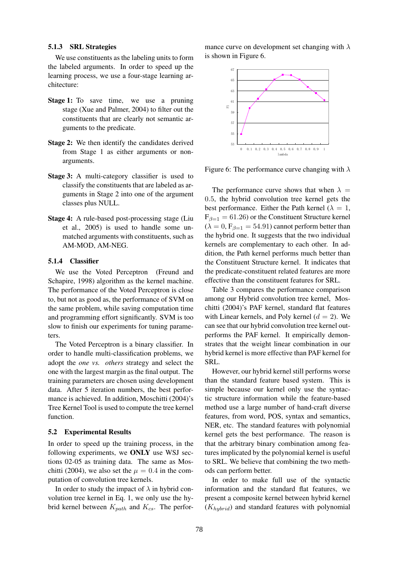## 5.1.3 SRL Strategies

We use constituents as the labeling units to form the labeled arguments. In order to speed up the learning process, we use a four-stage learning architecture:

- Stage 1: To save time, we use a pruning stage (Xue and Palmer, 2004) to filter out the constituents that are clearly not semantic arguments to the predicate.
- Stage 2: We then identify the candidates derived from Stage 1 as either arguments or nonarguments.
- Stage 3: A multi-category classifier is used to classify the constituents that are labeled as arguments in Stage 2 into one of the argument classes plus NULL.
- Stage 4: A rule-based post-processing stage (Liu et al., 2005) is used to handle some unmatched arguments with constituents, such as AM-MOD, AM-NEG.

## 5.1.4 Classifier

We use the Voted Perceptron (Freund and Schapire, 1998) algorithm as the kernel machine. The performance of the Voted Perceptron is close to, but not as good as, the performance of SVM on the same problem, while saving computation time and programming effort significantly. SVM is too slow to finish our experiments for tuning parameters.

The Voted Perceptron is a binary classifier. In order to handle multi-classification problems, we adopt the *one vs. others* strategy and select the one with the largest margin as the final output. The training parameters are chosen using development data. After 5 iteration numbers, the best performance is achieved. In addition, Moschitti (2004)'s Tree Kernel Tool is used to compute the tree kernel function.

#### 5.2 Experimental Results

In order to speed up the training process, in the following experiments, we ONLY use WSJ sections 02-05 as training data. The same as Moschitti (2004), we also set the  $\mu = 0.4$  in the computation of convolution tree kernels.

In order to study the impact of  $\lambda$  in hybrid convolution tree kernel in Eq. 1, we only use the hybrid kernel between  $K_{path}$  and  $K_{cs}$ . The perfor-

mance curve on development set changing with  $\lambda$ is shown in Figure 6.



Figure 6: The performance curve changing with  $\lambda$ 

The performance curve shows that when  $\lambda =$ 0.5, the hybrid convolution tree kernel gets the best performance. Either the Path kernel ( $\lambda = 1$ ,  $F_{\beta=1} = 61.26$ ) or the Constituent Structure kernel  $(\lambda = 0, F_{\beta=1} = 54.91)$  cannot perform better than the hybrid one. It suggests that the two individual kernels are complementary to each other. In addition, the Path kernel performs much better than the Constituent Structure kernel. It indicates that the predicate-constituent related features are more effective than the constituent features for SRL.

Table 3 compares the performance comparison among our Hybrid convolution tree kernel, Moschitti (2004)'s PAF kernel, standard flat features with Linear kernels, and Poly kernel  $(d = 2)$ . We can see that our hybrid convolution tree kernel outperforms the PAF kernel. It empirically demonstrates that the weight linear combination in our hybrid kernel is more effective than PAF kernel for SRL.

However, our hybrid kernel still performs worse than the standard feature based system. This is simple because our kernel only use the syntactic structure information while the feature-based method use a large number of hand-craft diverse features, from word, POS, syntax and semantics, NER, etc. The standard features with polynomial kernel gets the best performance. The reason is that the arbitrary binary combination among features implicated by the polynomial kernel is useful to SRL. We believe that combining the two methods can perform better.

In order to make full use of the syntactic information and the standard flat features, we present a composite kernel between hybrid kernel  $(K_{hubrid})$  and standard features with polynomial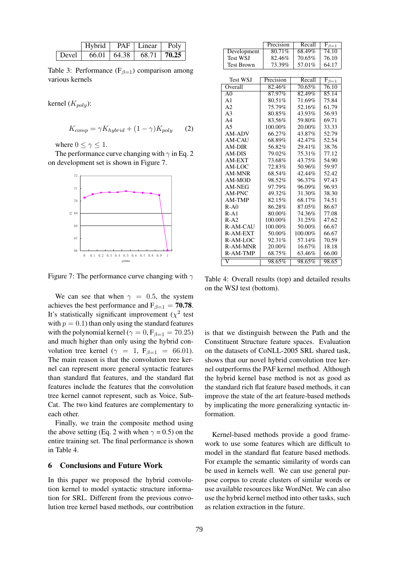|       | Hybrid |                   | PAF   Linear    | Poly |
|-------|--------|-------------------|-----------------|------|
| Devel |        | $66.01 \pm 64.38$ | $68.71$   70.25 |      |

Table 3: Performance ( $F_{\beta=1}$ ) comparison among various kernels

kernel  $(K_{poly})$ :

$$
K_{comp} = \gamma K_{hybrid} + (1 - \gamma) K_{poly} \tag{2}
$$

where  $0 \leq \gamma \leq 1$ .

The performance curve changing with  $\gamma$  in Eq. 2 on development set is shown in Figure 7.



Figure 7: The performance curve changing with  $\gamma$ 

We can see that when  $\gamma = 0.5$ , the system achieves the best performance and  $F_{\beta=1} = 70.78$ . It's statistically significant improvement  $(\chi^2)$  test with  $p = 0.1$ ) than only using the standard features with the polynomial kernel ( $\gamma = 0$ ,  $F_{\beta=1} = 70.25$ ) and much higher than only using the hybrid convolution tree kernel ( $\gamma = 1$ ,  $F_{\beta=1} = 66.01$ ). The main reason is that the convolution tree kernel can represent more general syntactic features than standard flat features, and the standard flat features include the features that the convolution tree kernel cannot represent, such as Voice, Sub-Cat. The two kind features are complementary to each other.

Finally, we train the composite method using the above setting (Eq. 2 with when  $\gamma = 0.5$ ) on the entire training set. The final performance is shown in Table 4.

## 6 Conclusions and Future Work

In this paper we proposed the hybrid convolution kernel to model syntactic structure information for SRL. Different from the previous convolution tree kernel based methods, our contribution

|                   | Precision | Recall  | $\overline{\mathrm{F}_{\beta=1}}$ |
|-------------------|-----------|---------|-----------------------------------|
| Development       | 80.71%    | 68.49%  | 74.10                             |
| <b>Test WSJ</b>   | 82.46%    | 70.65%  | 76.10                             |
| <b>Test Brown</b> | 73.39%    | 57.01%  | 64.17                             |
|                   |           |         |                                   |
| <b>Test WSJ</b>   | Precision | Recall  | $F_{\beta=1}$                     |
| Overall           | 82.46%    | 70.65%  | 76.10                             |
| A <sub>0</sub>    | 87.97%    | 82.49%  | 85.14                             |
| A <sub>1</sub>    | 80.51%    | 71.69%  | 75.84                             |
| A <sub>2</sub>    | 75.79%    | 52.16%  | 61.79                             |
| A <sub>3</sub>    | 80.85%    | 43.93%  | 56.93                             |
| A <sub>4</sub>    | 83.56%    | 59.80%  | 69.71                             |
| A <sub>5</sub>    | 100.00%   | 20.00%  | 33.33                             |
| AM-ADV            | 66.27%    | 43.87%  | 52.79                             |
| AM-CAU            | 68.89%    | 42.47%  | 52.54                             |
| <b>AM-DIR</b>     | 56.82%    | 29.41%  | 38.76                             |
| AM-DIS            | 79.02%    | 75.31%  | 77.12                             |
| AM-EXT            | 73.68%    | 43.75%  | 54.90                             |
| AM-LOC            | 72.83%    | 50.96%  | 59.97                             |
| AM-MNR            | 68.54%    | 42.44%  | 52.42                             |
| AM-MOD            | 98.52%    | 96.37%  | 97.43                             |
| AM-NEG            | 97.79%    | 96.09%  | 96.93                             |
| AM-PNC            | 49.32%    | 31.30%  | 38.30                             |
| <b>AM-TMP</b>     | 82.15%    | 68.17%  | 74.51                             |
| $R-A0$            | 86.28%    | 87.05%  | 86.67                             |
| $R-A1$            | 80.00%    | 74.36%  | 77.08                             |
| $R-A2$            | 100.00%   | 31.25%  | 47.62                             |
| R-AM-CAU          | 100.00%   | 50.00%  | 66.67                             |
| R-AM-EXT          | 50.00%    | 100.00% | 66.67                             |
| R-AM-LOC          | 92.31%    | 57.14%  | 70.59                             |
| R-AM-MNR          | 20.00%    | 16.67%  | 18.18                             |
| R-AM-TMP          | 68.75%    | 63.46%  | 66.00                             |
| V                 | 98.65%    | 98.65%  | 98.65                             |

Table 4: Overall results (top) and detailed results on the WSJ test (bottom).

is that we distinguish between the Path and the Constituent Structure feature spaces. Evaluation on the datasets of CoNLL-2005 SRL shared task, shows that our novel hybrid convolution tree kernel outperforms the PAF kernel method. Although the hybrid kernel base method is not as good as the standard rich flat feature based methods, it can improve the state of the art feature-based methods by implicating the more generalizing syntactic information.

Kernel-based methods provide a good framework to use some features which are difficult to model in the standard flat feature based methods. For example the semantic similarity of words can be used in kernels well. We can use general purpose corpus to create clusters of similar words or use available resources like WordNet. We can also use the hybrid kernel method into other tasks, such as relation extraction in the future.